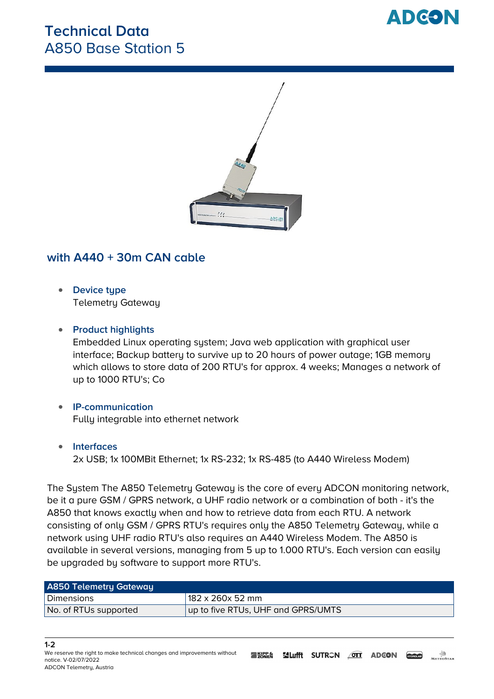## **Technical Data** A850 Base Station 5





### **with A440 + 30m CAN cable**

**Device type** Telemetry Gateway

### **Product highlights**

Embedded Linux operating system; Java web application with graphical user interface; Backup battery to survive up to 20 hours of power outage; 1GB memory which allows to store data of 200 RTU's for approx. 4 weeks; Manages a network of up to 1000 RTU's; Co

#### **IP-communication** Fully integrable into ethernet network

#### **Interfaces**

2x USB; 1x 100MBit Ethernet; 1x RS-232; 1x RS-485 (to A440 Wireless Modem)

**The System** The A850 Telemetry Gateway is the core of every ADCON monitoring network, be it a pure GSM / GPRS network, a UHF radio network or a combination of both - it's the A850 that knows exactly when and how to retrieve data from each RTU. A network consisting of only GSM / GPRS RTU's requires only the A850 Telemetry Gateway, while a network using UHF radio RTU's also requires an A440 Wireless Modem. The A850 is available in several versions, managing from 5 up to 1.000 RTU's. Each version can easily be upgraded by software to support more RTU's.

| <b>A850 Telemetry Gateway</b> |                                    |
|-------------------------------|------------------------------------|
| Dimensions                    | 182 x 260x 52 mm                   |
| No. of RTUs supported         | up to five RTUs, UHF and GPRS/UMTS |

#### **1-2**

*We reserve the right to make technical changes and improvements without notice. V-02/07/2022 ADCON Telemetry, Austria*